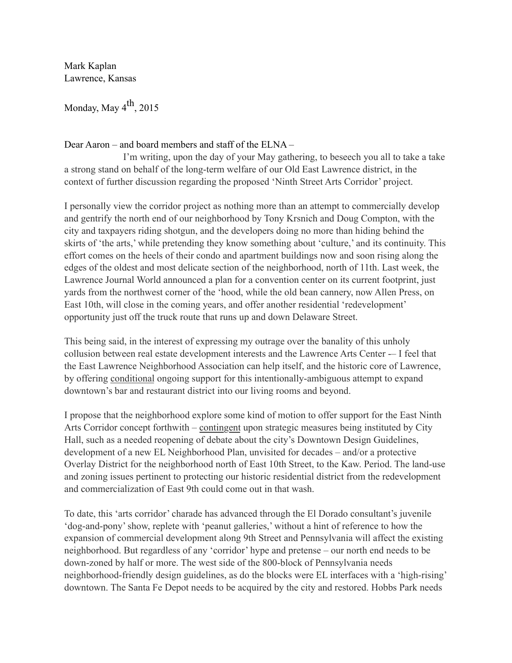Mark Kaplan Lawrence, Kansas

Monday, May  $4<sup>th</sup>$ , 2015

## Dear Aaron – and board members and staff of the ELNA –

 I'm writing, upon the day of your May gathering, to beseech you all to take a take a strong stand on behalf of the long-term welfare of our Old East Lawrence district, in the context of further discussion regarding the proposed 'Ninth Street Arts Corridor' project.

I personally view the corridor project as nothing more than an attempt to commercially develop and gentrify the north end of our neighborhood by Tony Krsnich and Doug Compton, with the city and taxpayers riding shotgun, and the developers doing no more than hiding behind the skirts of 'the arts,' while pretending they know something about 'culture,' and its continuity. This effort comes on the heels of their condo and apartment buildings now and soon rising along the edges of the oldest and most delicate section of the neighborhood, north of 11th. Last week, the Lawrence Journal World announced a plan for a convention center on its current footprint, just yards from the northwest corner of the 'hood, while the old bean cannery, now Allen Press, on East 10th, will close in the coming years, and offer another residential 'redevelopment' opportunity just off the truck route that runs up and down Delaware Street.

This being said, in the interest of expressing my outrage over the banality of this unholy collusion between real estate development interests and the Lawrence Arts Center -– I feel that the East Lawrence Neighborhood Association can help itself, and the historic core of Lawrence, by offering conditional ongoing support for this intentionally-ambiguous attempt to expand downtown's bar and restaurant district into our living rooms and beyond.

I propose that the neighborhood explore some kind of motion to offer support for the East Ninth Arts Corridor concept forthwith – contingent upon strategic measures being instituted by City Hall, such as a needed reopening of debate about the city's Downtown Design Guidelines, development of a new EL Neighborhood Plan, unvisited for decades – and/or a protective Overlay District for the neighborhood north of East 10th Street, to the Kaw. Period. The land-use and zoning issues pertinent to protecting our historic residential district from the redevelopment and commercialization of East 9th could come out in that wash.

To date, this 'arts corridor' charade has advanced through the El Dorado consultant's juvenile 'dog-and-pony' show, replete with 'peanut galleries,' without a hint of reference to how the expansion of commercial development along 9th Street and Pennsylvania will affect the existing neighborhood. But regardless of any 'corridor' hype and pretense – our north end needs to be down-zoned by half or more. The west side of the 800-block of Pennsylvania needs neighborhood-friendly design guidelines, as do the blocks were EL interfaces with a 'high-rising' downtown. The Santa Fe Depot needs to be acquired by the city and restored. Hobbs Park needs